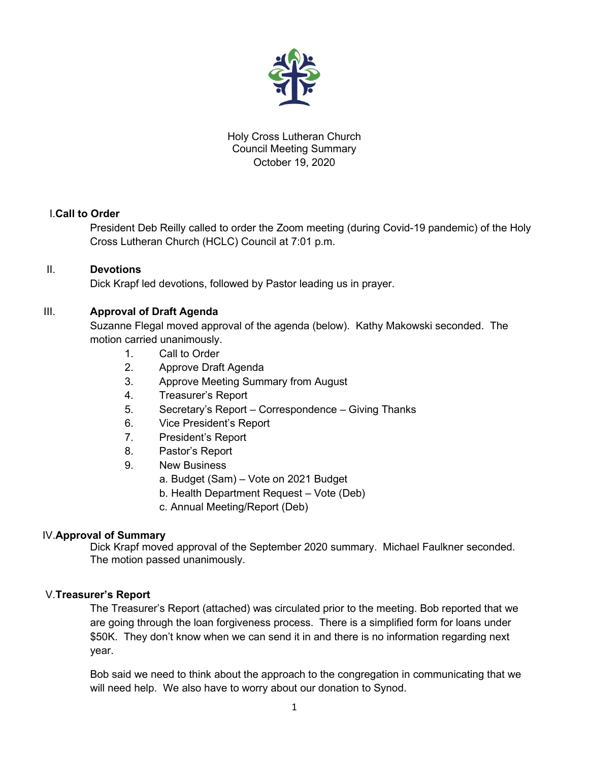

# Holy Cross Lutheran Church Council Meeting Summary October 19, 2020

# I.**Call to Order**

President Deb Reilly called to order the Zoom meeting (during Covid-19 pandemic) of the Holy Cross Lutheran Church (HCLC) Council at 7:01 p.m.

# II. **Devotions**

Dick Krapf led devotions, followed by Pastor leading us in prayer.

# III. **Approval of Draft Agenda**

Suzanne Flegal moved approval of the agenda (below). Kathy Makowski seconded. The motion carried unanimously.

- 1. Call to Order
- 2. Approve Draft Agenda
- 3. Approve Meeting Summary from August
- 4. Treasurer's Report
- 5. Secretary's Report Correspondence Giving Thanks
- 6. Vice President's Report
- 7. President's Report
- 8. Pastor's Report
- 9. New Business
	- a. Budget (Sam) Vote on 2021 Budget
	- b. Health Department Request Vote (Deb)
	- c. Annual Meeting/Report (Deb)

# IV.**Approval of Summary**

Dick Krapf moved approval of the September 2020 summary. Michael Faulkner seconded. The motion passed unanimously.

## V.**Treasurer's Report**

The Treasurer's Report (attached) was circulated prior to the meeting. Bob reported that we are going through the loan forgiveness process. There is a simplified form for loans under \$50K. They don't know when we can send it in and there is no information regarding next year.

Bob said we need to think about the approach to the congregation in communicating that we will need help. We also have to worry about our donation to Synod.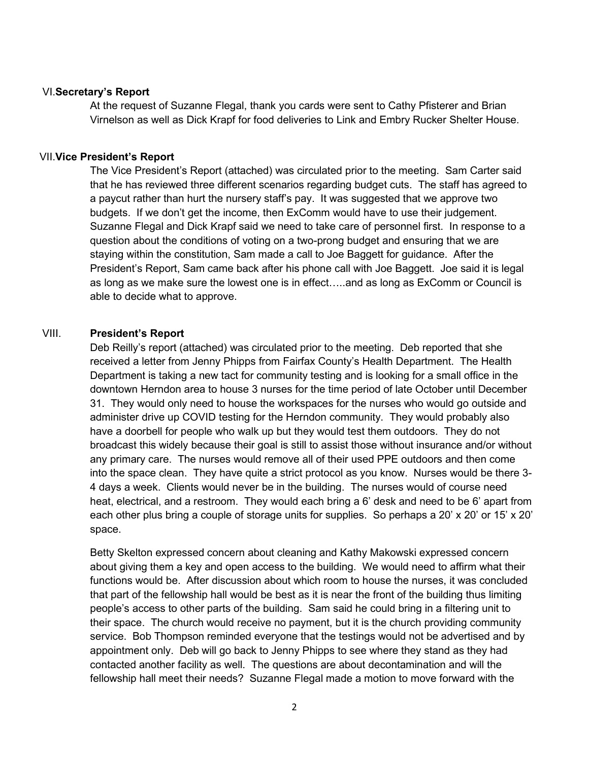## VI.**Secretary's Report**

At the request of Suzanne Flegal, thank you cards were sent to Cathy Pfisterer and Brian Virnelson as well as Dick Krapf for food deliveries to Link and Embry Rucker Shelter House.

### VII.**Vice President's Report**

The Vice President's Report (attached) was circulated prior to the meeting. Sam Carter said that he has reviewed three different scenarios regarding budget cuts. The staff has agreed to a paycut rather than hurt the nursery staff's pay. It was suggested that we approve two budgets. If we don't get the income, then ExComm would have to use their judgement. Suzanne Flegal and Dick Krapf said we need to take care of personnel first. In response to a question about the conditions of voting on a two-prong budget and ensuring that we are staying within the constitution, Sam made a call to Joe Baggett for guidance. After the President's Report, Sam came back after his phone call with Joe Baggett. Joe said it is legal as long as we make sure the lowest one is in effect…..and as long as ExComm or Council is able to decide what to approve.

## VIII. **President's Report**

Deb Reilly's report (attached) was circulated prior to the meeting. Deb reported that she received a letter from Jenny Phipps from Fairfax County's Health Department. The Health Department is taking a new tact for community testing and is looking for a small office in the downtown Herndon area to house 3 nurses for the time period of late October until December 31. They would only need to house the workspaces for the nurses who would go outside and administer drive up COVID testing for the Herndon community. They would probably also have a doorbell for people who walk up but they would test them outdoors. They do not broadcast this widely because their goal is still to assist those without insurance and/or without any primary care. The nurses would remove all of their used PPE outdoors and then come into the space clean. They have quite a strict protocol as you know. Nurses would be there 3- 4 days a week. Clients would never be in the building. The nurses would of course need heat, electrical, and a restroom. They would each bring a 6' desk and need to be 6' apart from each other plus bring a couple of storage units for supplies. So perhaps a 20' x 20' or 15' x 20' space.

Betty Skelton expressed concern about cleaning and Kathy Makowski expressed concern about giving them a key and open access to the building. We would need to affirm what their functions would be. After discussion about which room to house the nurses, it was concluded that part of the fellowship hall would be best as it is near the front of the building thus limiting people's access to other parts of the building. Sam said he could bring in a filtering unit to their space. The church would receive no payment, but it is the church providing community service. Bob Thompson reminded everyone that the testings would not be advertised and by appointment only. Deb will go back to Jenny Phipps to see where they stand as they had contacted another facility as well. The questions are about decontamination and will the fellowship hall meet their needs? Suzanne Flegal made a motion to move forward with the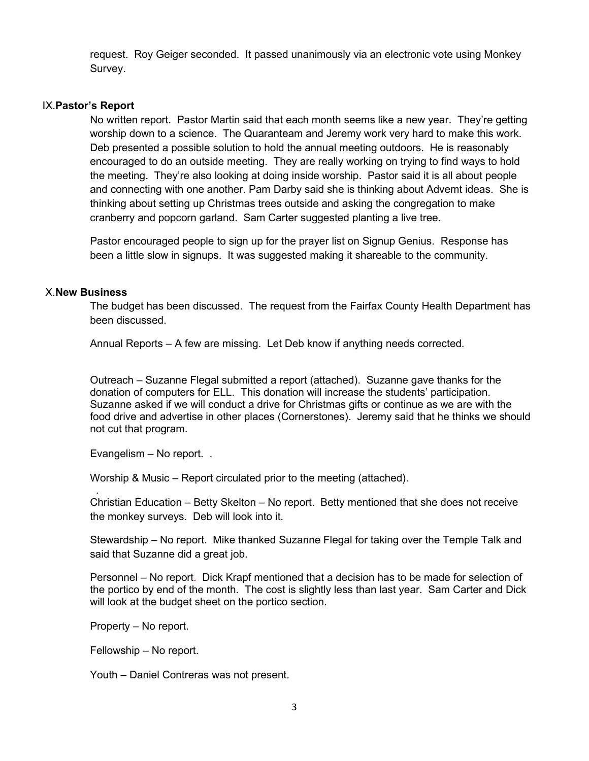request. Roy Geiger seconded. It passed unanimously via an electronic vote using Monkey Survey.

#### IX.**Pastor's Report**

No written report. Pastor Martin said that each month seems like a new year. They're getting worship down to a science. The Quaranteam and Jeremy work very hard to make this work. Deb presented a possible solution to hold the annual meeting outdoors. He is reasonably encouraged to do an outside meeting. They are really working on trying to find ways to hold the meeting. They're also looking at doing inside worship. Pastor said it is all about people and connecting with one another. Pam Darby said she is thinking about Advemt ideas. She is thinking about setting up Christmas trees outside and asking the congregation to make cranberry and popcorn garland. Sam Carter suggested planting a live tree.

Pastor encouraged people to sign up for the prayer list on Signup Genius. Response has been a little slow in signups. It was suggested making it shareable to the community.

### X.**New Business**

The budget has been discussed. The request from the Fairfax County Health Department has been discussed.

Annual Reports – A few are missing. Let Deb know if anything needs corrected.

Outreach – Suzanne Flegal submitted a report (attached). Suzanne gave thanks for the donation of computers for ELL. This donation will increase the students' participation. Suzanne asked if we will conduct a drive for Christmas gifts or continue as we are with the food drive and advertise in other places (Cornerstones). Jeremy said that he thinks we should not cut that program.

Evangelism – No report. .

Worship & Music – Report circulated prior to the meeting (attached).

 . Christian Education – Betty Skelton – No report. Betty mentioned that she does not receive the monkey surveys. Deb will look into it.

Stewardship – No report. Mike thanked Suzanne Flegal for taking over the Temple Talk and said that Suzanne did a great job.

Personnel – No report. Dick Krapf mentioned that a decision has to be made for selection of the portico by end of the month. The cost is slightly less than last year. Sam Carter and Dick will look at the budget sheet on the portico section.

Property – No report.

Fellowship – No report.

Youth – Daniel Contreras was not present.